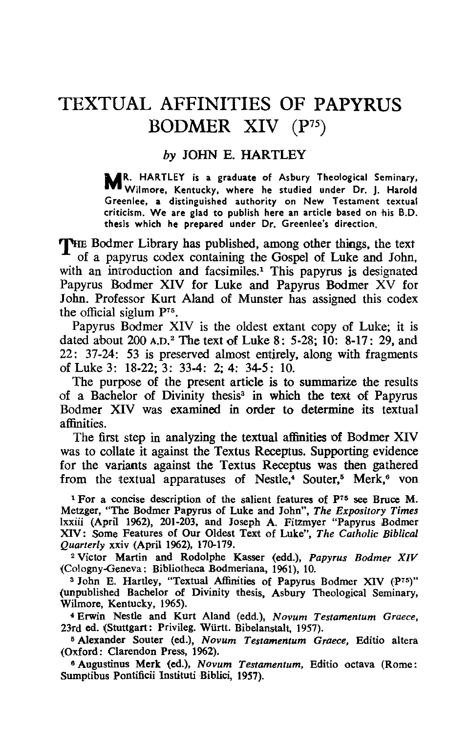## TEXTUAL AFFINITIES OF PAPYRUS BODMER XIV (P75)

## *by* JOHN E. HARTLEY

R. HARTLEY is a graduate of Asbury Theological Seminary, Wilmore, Kentucky, where he studied under Dr. J. Harold Greenlee, a distinguished authority on New Testament textual criticism. We are glad to publish here an article based on his B.O. thesis which he prepared under Dr. Greenlee's direction.

THE Bodmer Library has published, among other things, the text of a papyrus codex containing the Gospel of Luke and John, with an introduction and facsimiles.<sup>1</sup> This papyrus is designated Papyrus Bodmer XIV for Luke and Papyrus Bodmer XV for John. Professor Kurt Aland of Munster has assigned this codex the official siglum P75.

Papyrus Bodmer XIV is the oldest extant copy of Luke; it is dated about 200 A.D.2 The text of Luke 8: 5-28; 10: 8-17: 29, and 22: 37-24: 53 is preserved almost entirely, along with fragments of Luke 3: 18-22; 3: 33-4: 2; 4: 34-5: 10.

The purpose of the present article is to summarize the results of a Bachelor of Divinity thesis<sup>3</sup> in which the text of Papyrus Bodmer XIV was examined in order to determine its textual affinities.

The first step in analyzing the textual affinities of Bodmer XIV was to collate it against the Textus Receptus. Supporting evidence for the variants against the Textus Receptus was then gathered from the textual apparatuses of Nestle,<sup>4</sup> Souter,<sup>5</sup> Merk,<sup>6</sup> von

<sup>1</sup> For a concise description of the salient features of P<sup>75</sup> see Bruce M. Metzger, "The Bodmer Papyrus of Luke and John", *The Expository Times*  lxxiii (April 1962), 201-203, and Joseph A. Fitzmyer "Papyrus Bodmer XIV: Some Features of Our Oldest Text of Luke", The Catholic Biblical *Quarterly* xxiv {April 1962), 170-179.

2 Victor Martin and Rodolphe Kasser (edd.), *Papyrus Bodmer XIV*  (Cologny-Geneva: Bibliotheca Bodmeriana, 1961), 10.

<sup>3</sup> John E. Hartley, "Textual Affinities of Papyrus Bodmer XIV (P75)" (unpublished Bachelor of Divinity thesis, Asbury Theological Seminary, Wilmore, Kentucky, 1965).

4 Erwin Nestle and Kurt Aland (edd.), *Novum Testamentum Graece,*  23rd ed. (Stuttgart: Privileg. Württ. Bibelanstalt, 1957).

5 Alexander Souter (ed.), *Novum Testamentum Graece,* Editio altera (Oxford: Clarendon Press, 1962).

6 Augustinus Merk (ed.), *Novum Testamentum,* Editio octava (Rome: Sumptibus Pontificii Instituti Biblici, 1957).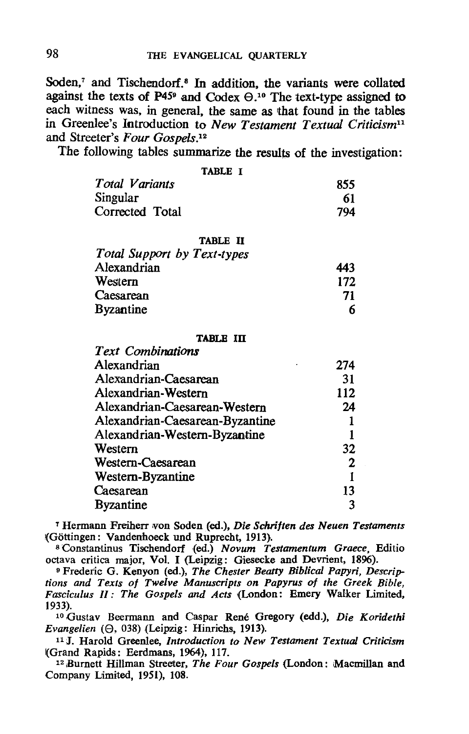Soden.<sup>7</sup> and Tischendorf.<sup>8</sup> In addition, the variants were collated against the texts of  $P45^{\circ}$  and Codex  $\Theta$ .<sup>10</sup> The text-type assigned to each witness was, in general, the same as that found in the tables in Greenlee's Introduction to *New Testament Textual Criticism11*  and Streeter's *Four Gospels*.<sup>12</sup>

The following tables summarize the results of the investigation:

| TABLE I                     |     |
|-----------------------------|-----|
| Total Variants              | 855 |
| Singular                    | 61  |
| Corrected Total             | 794 |
| <b>TABLE II</b>             |     |
| Total Support by Text-types |     |
| Alexandrian                 | 443 |
| Western                     | 172 |
| Caesarean                   | 71  |
| <b>Byzantine</b>            |     |

## TABLE III

| <b>Text Combinations</b>        |     |
|---------------------------------|-----|
| Alexandrian                     | 274 |
| Alexandrian-Caesarean           | 31  |
| Alexandrian-Western             | 112 |
| Alexandrian-Caesarean-Western   | 24  |
| Alexandrian-Caesarean-Byzantine |     |
| Alexandrian-Western-Byzantine   |     |
| Western                         | 32  |
| Western-Caesarean               | 2   |
| Western-Byzantine               |     |
| Caesarean                       | 13  |
| <b>Byzantine</b>                |     |

T Hermann Freiherr ¥on Soden (ed.), *Die Schriften des Neuen Testaments*  (Göttingen: Vandenhoeck und Ruprecht, 1913).

8 Constantinus Tischendorf (ed.) *Novum Testamentum Graece,* Editio octava critica major, Vol. I (Leipzig: Giesecke and Devrient, 1896).

9 Frederic G. Kenyon (ed.), *The Chester Beatty Biblical Papyri, Descriptions and Texts of Twelve Manuscripts on Papyrus of the Greek Bible, Fasciculus Il: The Gospels and Acts* (London: Emery Walker Limited, 1933).

10 Gustav Beermann and Caspar Rene Gregory (edd.), *Die Koridethi*   $Evangelien$   $(\Theta, 038)$  (Leipzig: Hinrichs, 1913).

<sup>11</sup>J. Harold Greenlee, *Introduction to New Testament Textual Criticism*  I(Grand Rapids: Eerdmans, 1964), 117.

<sup>12</sup> Burnett Hillman Streeter, *The Four Gospels* (London: Macmillan and Company Limited, 1951), IOS.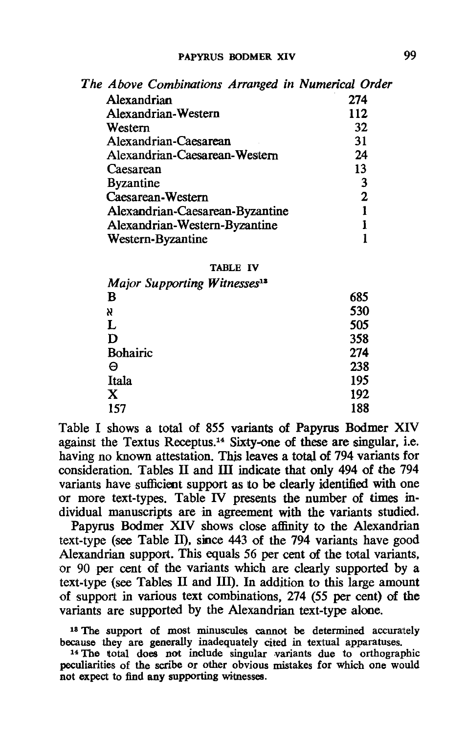| The Above Combinations Arranged in Numerical Order |     |
|----------------------------------------------------|-----|
| Alexandrian                                        | 274 |
| Alexandrian-Western                                | 112 |
| Western                                            | 32  |
| Alexandrian-Caesarean                              | 31  |
| Alexandrian-Caesarean-Western                      | 24  |
| Caesarean                                          | 13  |
| <b>Byzantine</b>                                   | 3   |
| Caesarean-Western                                  | 2   |
| Alexandrian-Caesarean-Byzantine                    |     |
| Alexandrian-Western-Byzantine                      |     |
| Western-Byzantine                                  |     |
|                                                    |     |

## TABLE IV

| Major Supporting Witnesses <sup>18</sup> |     |
|------------------------------------------|-----|
| B                                        | 685 |
| X                                        | 530 |
| L                                        | 505 |
| D                                        | 358 |
| <b>Bohairic</b>                          | 274 |
| Θ                                        | 238 |
| Itala                                    | 195 |
| X                                        | 192 |
| 157                                      | 188 |

Table I shows a total of 855 variants of Papyrus Bodmer XIV against the Textus Receptus.<sup>14</sup> Sixty-one of these are singular, i.e. having no known attestation. This leaves a total of 794 variants for consideration. Tables 11 and ill indicate that only 494 of the 794 variants have sufficient support as to be clearly identified with one or more text-types. Table IV presents the number of times individual manuscripts are in agreement with the variants studied.

Papyrus Bodmer XIV shows close affinity to the Alexandrian text-type (see Table 11). since 443 of the 794 variants have good Alexandrian support. This equals 56 per cent of the total variants. or 90 per cent of the variants which are clearly supported by a text-type (see Tables 11 and Ill). In addition to this large amount of support in various text combinations. 274 (55 per cent) of the variants are supported by the Alexandrian text-type alone.

18 The support of most minuscules cannot be determined accurately because they are generally inadequately cited in textual apparatuses.

<sup>14</sup> The total does not include singular variants due to orthographic peculiarities of the scribe or other obvious mistakes for which one would not expect to find any supporting witnesses.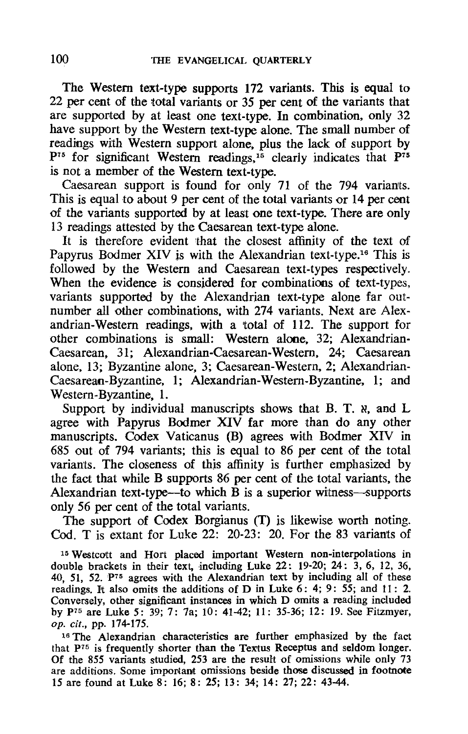The Western text-type supports 172 variants. This is equal to 22 per cent of the total variants or 35 per cent of the variants that are supported by at least one text-type. In combination, only 32 have support by the Western text-type alone. The small number of readings with Western support alone, plus the lack of support by  $P^{75}$  for significant Western readings,<sup>15</sup> clearly indicates that  $P^{75}$ is not a member of the Western text-type.

Caesarean support is found for only 71 of the 794 variants. This is equal to about 9 per cent of the total variants or 14 per cent of the variants supported by at least one text-type. There are only 13 readings attested by the Caesarean text-type alone.

It is therefore evident that the closest affmity of the text of Papyrus Bodmer XIV is with the Alexandrian text-type.16 This is followed by the Western and Caesarean text-types respectively. When the evidence is considered for combinations of text-types, variants supported by the Alexandrian text-type alone far outnumber all other combinations, with 274 variants. Next are Alexandrian-Western readings, with a 'total of 112. The support for other combinations is small: Western alone, 32; Alexandrian-Caesarean, 31; Alexandrian-Caesarean-Western. 24; Caesarean alone, 13; Byzantine alone, 3; Caesarean-Western. 2; Alexandrian-Caesarean-Byzantine, 1; Alexandrian-Western-Byzantine, 1; and Western-Byzantine, 1.

Support by individual manuscripts shows that B. T.  $\alpha$ , and L agree with Papyrus Bodmer XIV far more than do any other manuscripts. Codex Vaticanus (B) agrees with Bodmer XIV in 685 out of 794 variants; this is equal to 86 per cent of the total variants. The closeness of this affinity is further emphasized by the fact that while B supports 86 per cent of the total variants, the Alexandrian text-type—to which  $\overline{B}$  is a superior witness—supports only 56 per cent of the total variants.

The support of Codex Borgianus (T) is likewise worth noting. Cod. T is extant for Luke 22: 20-23: 20. For the 83 variants of

<sup>15</sup> Westcott and Hort placed important Western non-interpolations in double brackets in their text, including Luke 22: 19-20; 24: 3, 6, 12, 36, 40, 51, 52.  $P^{75}$  agrees with the Alexandrian text by including all of these readings. It also omits the additions of D in Luke 6: 4; 9: 55; and 11: 2. Conversely, other significant instances in which D omits a reading included by p75 are Luke 5: 39; 7: 7a; 10: 41-42; 11: 35-36; 12: 19. See Fitzmyer, op. cif., pp. 174-175.

16 The Alexandrian charaoteristics are further emphasized by the fact that p75 is frequently shorter than the Textus Receptus and seldom longer. Of the 855 variants studied, 253 are the result of omissions while only 73 are additions. Some important omissions beside those discussed in footnote 15 are found at Luke 8: 16; 8: 25; 13: 34; 14: 27; 22: 43-44.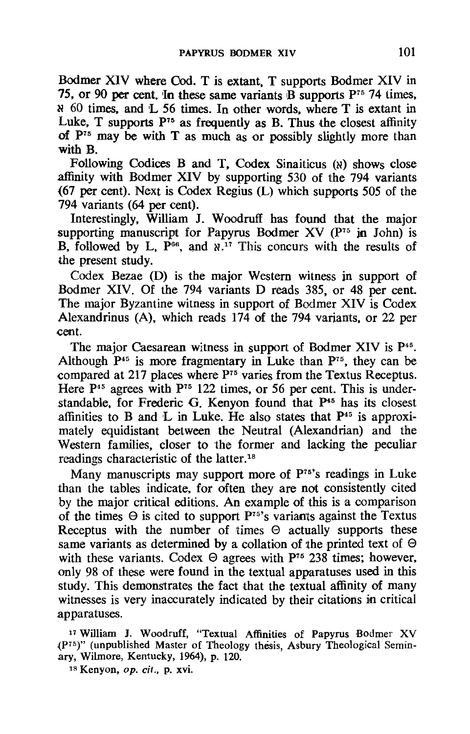Bodmer XIV where Cod. T is extant. T supports Bodmer XIV in 75. or 90 per cent. In these same variants  $\overrightarrow{B}$  supports  $P^{75}$  74 times. N 60 times. and L 56 times. In other words. where T is extant in Luke. T supports  $P^{75}$  as frequently as B. Thus the closest affinity of  $P^{75}$  may be with T as much as or possibly slightly more than with B.

Following Codices B and T. Codex Sinaiticus (x) shows close affinity with Bodmer XIV by supporting 530 of the 794 variants {67 per cent). Next is Codex Regius (L) which supports 505 of the 794 variants (64 per cent).

Interestingly. William J. Woodruff has found that the major supporting manuscript for Papyrus Bodmer  $XV$  ( $P^{75}$  in John) is B, followed by L,  $P^{66}$ , and  $N^{17}$  This concurs with the results of the present study.

Codex Bezae (D) is the major Western witness in support of Bodmer XIV. Of the 794 variants D reads 385, or 48 per cent. The major Byzantine witness in support of Bodmer XIV is Codex Alexandrinus (A), which reads 174 of the 794 variants. or 22 per cent.

The major Caesarean witness in support of Bodmer XIV is P<sup>45</sup>. Although  $P<sup>45</sup>$  is more fragmentary in Luke than  $P<sup>75</sup>$ , they can be compared at 217 places where P<sup>75</sup> varies from the Textus Receptus. Here  $P<sup>45</sup>$  agrees with  $P<sup>75</sup>$  122 times, or 56 per cent. This is understandable. for Frederic G. Kenyon found that P<sup>45</sup> has its closest affinities to B and L in Luke. He also states that  $P<sup>45</sup>$  is approximately equidistant between the Neutral (Alexandrian) and the Western families, closer to the former and lacking the peculiar readings characteristic of the latter.18

Many manuscripts may support more of  $P<sup>75</sup>$ 's readings in Luke than the tables indicate, for often they are not consistently cited by the major critical editions. An example of this is a comparison of the times  $\Theta$  is cited to support P<sup>75</sup>'s variants against the Textus Receptus with the number of times  $\Theta$  actually supports these same variants as determined by a collation of the printed text of  $\Theta$ with these variants. Codex  $\Theta$  agrees with P<sup>75</sup> 238 times; however, only 98 of these were found in the textual apparatuses used in this study. This demonstrates the fact that the textual affinity of many witnesses is very inaccurately indicated by their citations in critical apparatuses.

17 William J. Woodruff, "Textual Affinities of Papyrus Bodmer XV (Pi5)" (unpublished Master of Theology thesis, Asbury Theological Seminary, Wilmore, Kentucky, 1964), p. 120.

<sup>18</sup> Kenyon, op. cit., p. xvi.